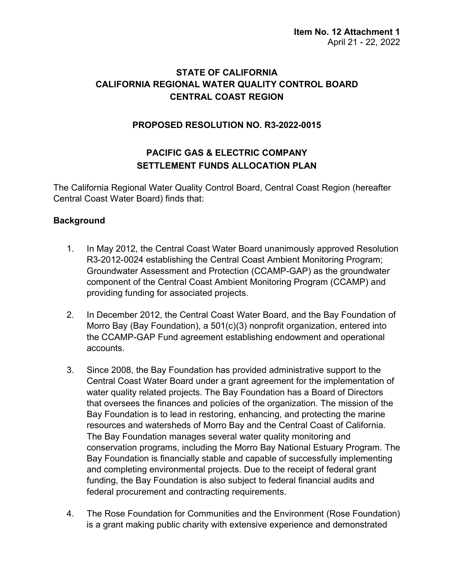## **STATE OF CALIFORNIA CALIFORNIA REGIONAL WATER QUALITY CONTROL BOARD CENTRAL COAST REGION**

### **PROPOSED RESOLUTION NO. R3-2022-0015**

# **PACIFIC GAS & ELECTRIC COMPANY SETTLEMENT FUNDS ALLOCATION PLAN**

The California Regional Water Quality Control Board, Central Coast Region (hereafter Central Coast Water Board) finds that:

### **Background**

- 1. In May 2012, the Central Coast Water Board unanimously approved Resolution R3-2012-0024 establishing the Central Coast Ambient Monitoring Program; Groundwater Assessment and Protection (CCAMP-GAP) as the groundwater component of the Central Coast Ambient Monitoring Program (CCAMP) and providing funding for associated projects.
- 2. In December 2012, the Central Coast Water Board, and the Bay Foundation of Morro Bay (Bay Foundation), a 501(c)(3) nonprofit organization, entered into the CCAMP-GAP Fund agreement establishing endowment and operational accounts.
- 3. Since 2008, the Bay Foundation has provided administrative support to the Central Coast Water Board under a grant agreement for the implementation of water quality related projects. The Bay Foundation has a Board of Directors that oversees the finances and policies of the organization. The mission of the Bay Foundation is to lead in restoring, enhancing, and protecting the marine resources and watersheds of Morro Bay and the Central Coast of California. The Bay Foundation manages several water quality monitoring and conservation programs, including the Morro Bay National Estuary Program. The Bay Foundation is financially stable and capable of successfully implementing and completing environmental projects. Due to the receipt of federal grant funding, the Bay Foundation is also subject to federal financial audits and federal procurement and contracting requirements.
- 4. The Rose Foundation for Communities and the Environment (Rose Foundation) is a grant making public charity with extensive experience and demonstrated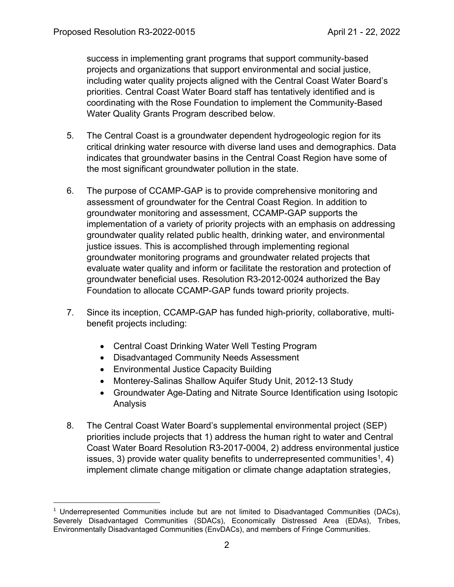success in implementing grant programs that support community-based projects and organizations that support environmental and social justice, including water quality projects aligned with the Central Coast Water Board's priorities. Central Coast Water Board staff has tentatively identified and is coordinating with the Rose Foundation to implement the Community-Based Water Quality Grants Program described below.

- 5. The Central Coast is a groundwater dependent hydrogeologic region for its critical drinking water resource with diverse land uses and demographics. Data indicates that groundwater basins in the Central Coast Region have some of the most significant groundwater pollution in the state.
- 6. The purpose of CCAMP-GAP is to provide comprehensive monitoring and assessment of groundwater for the Central Coast Region. In addition to groundwater monitoring and assessment, CCAMP-GAP supports the implementation of a variety of priority projects with an emphasis on addressing groundwater quality related public health, drinking water, and environmental justice issues. This is accomplished through implementing regional groundwater monitoring programs and groundwater related projects that evaluate water quality and inform or facilitate the restoration and protection of groundwater beneficial uses. Resolution R3-2012-0024 authorized the Bay Foundation to allocate CCAMP-GAP funds toward priority projects.
- 7. Since its inception, CCAMP-GAP has funded high-priority, collaborative, multibenefit projects including:
	- Central Coast Drinking Water Well Testing Program
	- · Disadvantaged Community Needs Assessment
	- · Environmental Justice Capacity Building
	- Monterey-Salinas Shallow Aquifer Study Unit, 2012-13 Study
	- · Groundwater Age-Dating and Nitrate Source Identification using Isotopic Analysis
- 8. The Central Coast Water Board's supplemental environmental project (SEP) priorities include projects that 1) address the human right to water and Central Coast Water Board Resolution R3-2017-0004, 2) address environmental justice issues, 3) provide water quality benefits to underrepresented communities<sup>[1](#page-1-0)</sup>, 4) implement climate change mitigation or climate change adaptation strategies,

<span id="page-1-0"></span> $1$  Underrepresented Communities include but are not limited to Disadvantaged Communities (DACs), Severely Disadvantaged Communities (SDACs), Economically Distressed Area (EDAs), Tribes, Environmentally Disadvantaged Communities (EnvDACs), and members of Fringe Communities.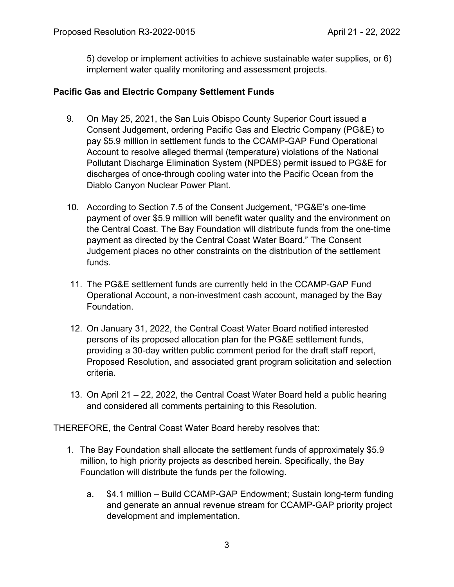5) develop or implement activities to achieve sustainable water supplies, or 6) implement water quality monitoring and assessment projects.

#### **Pacific Gas and Electric Company Settlement Funds**

- 9. On May 25, 2021, the San Luis Obispo County Superior Court issued a Consent Judgement, ordering Pacific Gas and Electric Company (PG&E) to pay \$5.9 million in settlement funds to the CCAMP-GAP Fund Operational Account to resolve alleged thermal (temperature) violations of the National Pollutant Discharge Elimination System (NPDES) permit issued to PG&E for discharges of once-through cooling water into the Pacific Ocean from the Diablo Canyon Nuclear Power Plant.
- 10. According to Section 7.5 of the Consent Judgement, "PG&E's one-time payment of over \$5.9 million will benefit water quality and the environment on the Central Coast. The Bay Foundation will distribute funds from the one-time payment as directed by the Central Coast Water Board." The Consent Judgement places no other constraints on the distribution of the settlement funds.
- 11. The PG&E settlement funds are currently held in the CCAMP-GAP Fund Operational Account, a non-investment cash account, managed by the Bay Foundation.
- 12. On January 31, 2022, the Central Coast Water Board notified interested persons of its proposed allocation plan for the PG&E settlement funds, providing a 30-day written public comment period for the draft staff report, Proposed Resolution, and associated grant program solicitation and selection criteria.
- 13. On April 21 22, 2022, the Central Coast Water Board held a public hearing and considered all comments pertaining to this Resolution.

THEREFORE, the Central Coast Water Board hereby resolves that:

- 1. The Bay Foundation shall allocate the settlement funds of approximately \$5.9 million, to high priority projects as described herein. Specifically, the Bay Foundation will distribute the funds per the following.
	- a. \$4.1 million Build CCAMP-GAP Endowment; Sustain long-term funding and generate an annual revenue stream for CCAMP-GAP priority project development and implementation.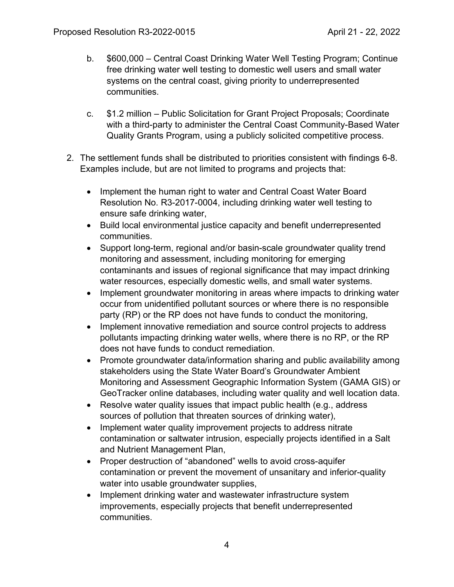- b. \$600,000 Central Coast Drinking Water Well Testing Program; Continue free drinking water well testing to domestic well users and small water systems on the central coast, giving priority to underrepresented communities.
- c. \$1.2 million Public Solicitation for Grant Project Proposals; Coordinate with a third-party to administer the Central Coast Community-Based Water Quality Grants Program, using a publicly solicited competitive process.
- 2. The settlement funds shall be distributed to priorities consistent with findings 6-8. Examples include, but are not limited to programs and projects that:
	- Implement the human right to water and Central Coast Water Board Resolution No. R3-2017-0004, including drinking water well testing to ensure safe drinking water,
	- · Build local environmental justice capacity and benefit underrepresented communities.
	- · Support long-term, regional and/or basin-scale groundwater quality trend monitoring and assessment, including monitoring for emerging contaminants and issues of regional significance that may impact drinking water resources, especially domestic wells, and small water systems.
	- · Implement groundwater monitoring in areas where impacts to drinking water occur from unidentified pollutant sources or where there is no responsible party (RP) or the RP does not have funds to conduct the monitoring,
	- · Implement innovative remediation and source control projects to address pollutants impacting drinking water wells, where there is no RP, or the RP does not have funds to conduct remediation.
	- Promote groundwater data/information sharing and public availability among stakeholders using the State Water Board's Groundwater Ambient Monitoring and Assessment Geographic Information System ([GAMA GIS](https://gamagroundwater.waterboards.ca.gov/gama/gamamap/public/)) or [GeoTracker](https://geotracker.waterboards.ca.gov/) online databases, including water quality and well location data.
	- Resolve water quality issues that impact public health (e.g., address sources of pollution that threaten sources of drinking water),
	- · Implement water quality improvement projects to address nitrate contamination or saltwater intrusion, especially projects identified in a Salt and Nutrient Management Plan,
	- · Proper destruction of "abandoned" wells to avoid cross-aquifer contamination or prevent the movement of unsanitary and inferior-quality water into usable groundwater supplies,
	- Implement drinking water and wastewater infrastructure system improvements, especially projects that benefit underrepresented communities.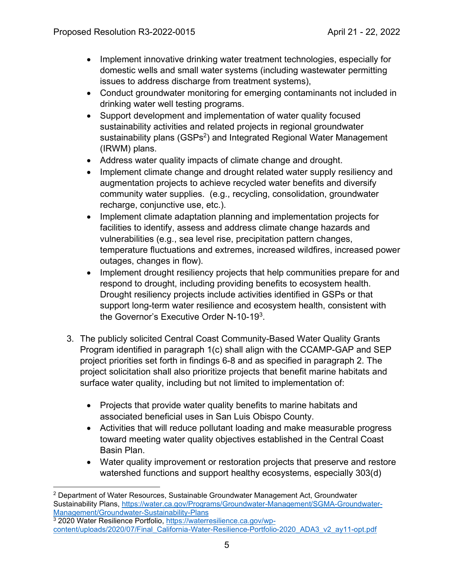- · Implement innovative drinking water treatment technologies, especially for domestic wells and small water systems (including wastewater permitting issues to address discharge from treatment systems),
- · Conduct groundwater monitoring for emerging contaminants not included in drinking water well testing programs.
- · Support development and implementation of water quality focused sustainability activities and related projects in regional groundwater sustainability plans (GSPs<sup>[2](#page-4-0)</sup>) and Integrated Regional Water Management (IRWM) plans.
- Address water quality impacts of climate change and drought.
- · Implement climate change and drought related water supply resiliency and augmentation projects to achieve recycled water benefits and diversify community water supplies. (e.g., recycling, consolidation, groundwater recharge, conjunctive use, etc.).
- · Implement climate adaptation planning and implementation projects for facilities to identify, assess and address climate change hazards and vulnerabilities (e.g., sea level rise, precipitation pattern changes, temperature fluctuations and extremes, increased wildfires, increased power outages, changes in flow).
- · Implement drought resiliency projects that help communities prepare for and respond to drought, including providing benefits to ecosystem health. Drought resiliency projects include activities identified in GSPs or that support long-term water resilience and ecosystem health, consistent with the Governor's Executive Order N-10-19 $^3$  $^3$ .
- 3. The publicly solicited Central Coast Community-Based Water Quality Grants Program identified in paragraph 1(c) shall align with the CCAMP-GAP and SEP project priorities set forth in findings 6-8 and as specified in paragraph 2. The project solicitation shall also prioritize projects that benefit marine habitats and surface water quality, including but not limited to implementation of:
	- Projects that provide water quality benefits to marine habitats and associated beneficial uses in San Luis Obispo County.
	- · Activities that will reduce pollutant loading and make measurable progress toward meeting water quality objectives established in the Central Coast Basin Plan.
	- · Water quality improvement or restoration projects that preserve and restore watershed functions and support healthy ecosystems, especially 303(d)

<span id="page-4-0"></span><sup>2</sup> Department of Water Resources, Sustainable Groundwater Management Act, Groundwater Sustainability Plans, [https://water.ca.gov/Programs/Groundwater-Management/SGMA-Groundwater-](https://water.ca.gov/Programs/Groundwater-Management/SGMA-Groundwater-Management/Groundwater-Sustainability-Plans)[Management/Groundwater-Sustainability-Plans](https://water.ca.gov/Programs/Groundwater-Management/SGMA-Groundwater-Management/Groundwater-Sustainability-Plans)

<span id="page-4-1"></span><sup>&</sup>lt;sup>3</sup> 2020 Water Resilience Portfolio, [https://waterresilience.ca.gov/wp](https://waterresilience.ca.gov/wp-content/uploads/2020/07/Final_California-Water-Resilience-Portfolio-2020_ADA3_v2_ay11-opt.pdf)[content/uploads/2020/07/Final\\_California-Water-Resilience-Portfolio-2020\\_ADA3\\_v2\\_ay11-opt.pdf](https://waterresilience.ca.gov/wp-content/uploads/2020/07/Final_California-Water-Resilience-Portfolio-2020_ADA3_v2_ay11-opt.pdf)